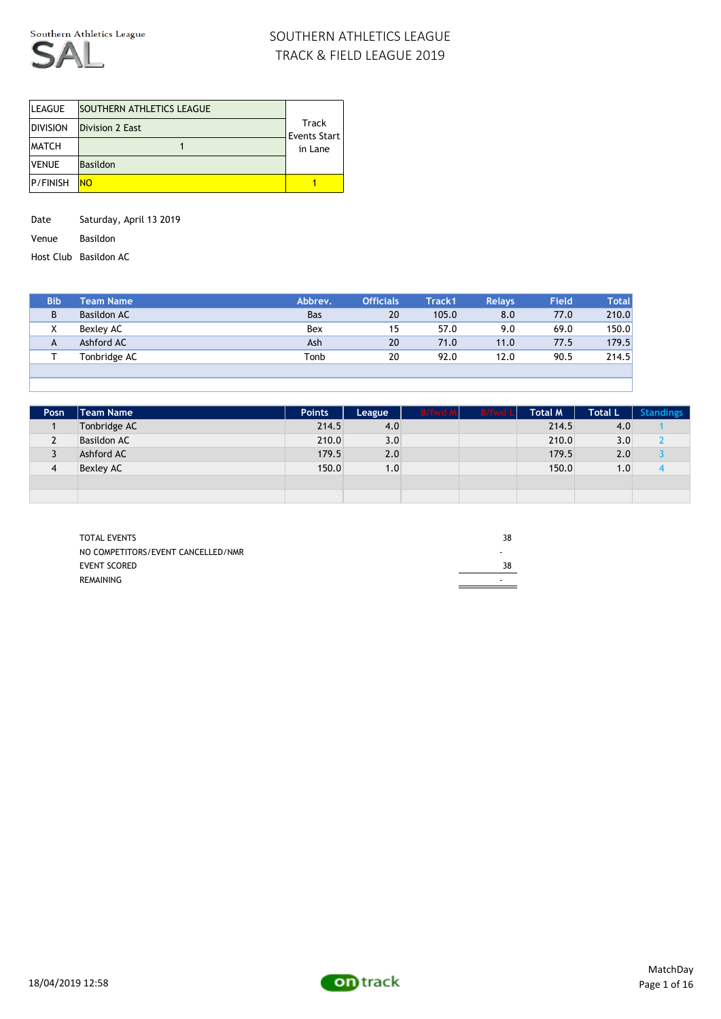

| <b>LEAGUE</b>   | <b>SOUTHERN ATHLETICS LEAGUE</b> |                              |
|-----------------|----------------------------------|------------------------------|
| <b>DIVISION</b> | Division 2 East                  | Track<br><b>Events Start</b> |
| <b>MATCH</b>    |                                  | in Lane                      |
| <b>VENUE</b>    | <b>Basildon</b>                  |                              |
| <b>P/FINISH</b> | <b>NO</b>                        |                              |

Date Saturday, April 13 2019

Venue Basildon

Host Club Basildon AC

| <b>Bib</b> | Team Name    | Abbrev.    | <b>Officials</b> | Track1 | <b>Relays</b> | <b>Field</b> | <b>Total</b> |
|------------|--------------|------------|------------------|--------|---------------|--------------|--------------|
| D          | Basildon AC  | <b>Bas</b> | 20               | 105.0  | 8.0           | 77.0         | 210.0        |
| $\lambda$  | Bexley AC    | Bex        | 15               | 57.0   | 9.0           | 69.0         | 150.0        |
| A          | Ashford AC   | Ash        | 20               | 71.0   | 11.0          | 77.5         | 179.5        |
|            | Tonbridge AC | Tonb       | 20               | 92.0   | 12.0          | 90.5         | 214.5        |
|            |              |            |                  |        |               |              |              |

| Posn.          | <b>Team Name</b>   | <b>Points</b> | League | <b>B/fwd M</b> | <b>B/fwd Ll</b> | Total M | Total L | <b>Standings</b> |
|----------------|--------------------|---------------|--------|----------------|-----------------|---------|---------|------------------|
|                | Tonbridge AC       | 214.5         | 4.0    |                |                 | 214.5   | 4.0     |                  |
| $\overline{2}$ | <b>Basildon AC</b> | 210.0         | 3.0    |                |                 | 210.0   | 3.0     |                  |
|                | Ashford AC         | 179.5         | 2.0    |                |                 | 179.5   | 2.0     |                  |
| $\overline{4}$ | <b>Bexley AC</b>   | 150.0         | 1.0    |                |                 | 150.0   | 1.0     |                  |
|                |                    |               |        |                |                 |         |         |                  |
|                |                    |               |        |                |                 |         |         |                  |

| <b>TOTAL EVENTS</b>                | 38                       |
|------------------------------------|--------------------------|
| NO COMPETITORS/EVENT CANCELLED/NMR |                          |
| <b>EVENT SCORED</b>                | 38                       |
| <b>REMAINING</b>                   | $\overline{\phantom{0}}$ |

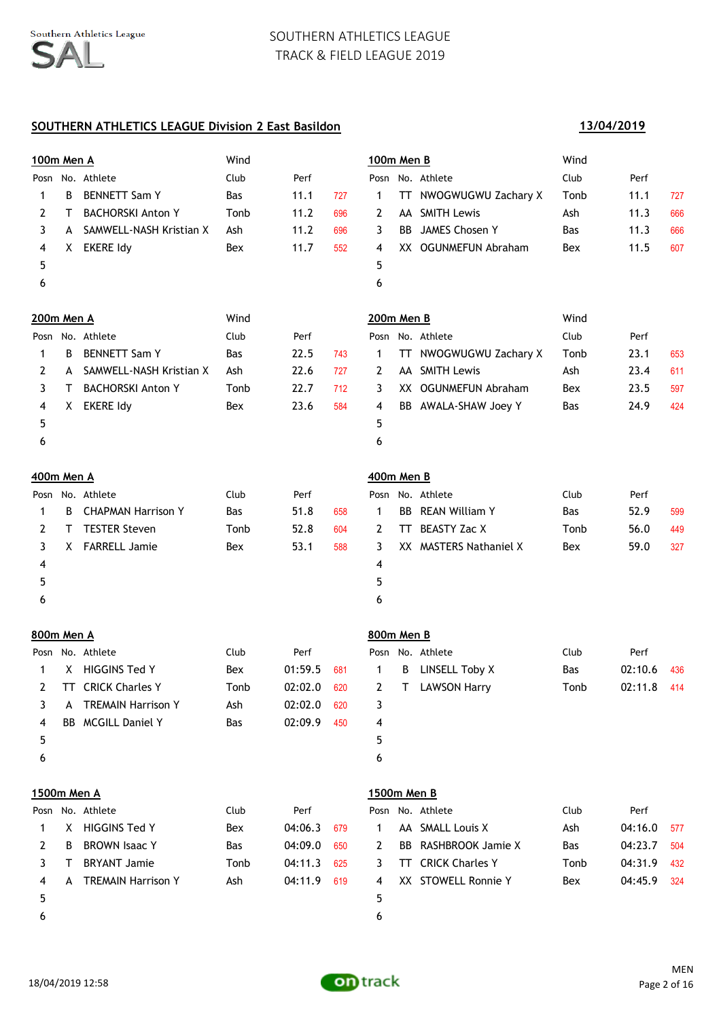## **SOUTHERN ATHLETICS LEAGUE Division 2 East Basildon**

|    |                           | Wind                                                                                                                                                    |      |     |                |     |                       | Wind                                                                                                                                                                                                                                                                                      |      |     |
|----|---------------------------|---------------------------------------------------------------------------------------------------------------------------------------------------------|------|-----|----------------|-----|-----------------------|-------------------------------------------------------------------------------------------------------------------------------------------------------------------------------------------------------------------------------------------------------------------------------------------|------|-----|
|    |                           | Club                                                                                                                                                    | Perf |     |                |     |                       | Club                                                                                                                                                                                                                                                                                      | Perf |     |
| B  | <b>BENNETT Sam Y</b>      | Bas                                                                                                                                                     | 11.1 | 727 | 1              | TT. | NWOGWUGWU Zachary X   | Tonb                                                                                                                                                                                                                                                                                      | 11.1 | 727 |
| T. | <b>BACHORSKI Anton Y</b>  | Tonb                                                                                                                                                    | 11.2 | 696 | $\overline{2}$ |     | <b>SMITH Lewis</b>    | Ash                                                                                                                                                                                                                                                                                       | 11.3 | 666 |
|    |                           | Ash                                                                                                                                                     | 11.2 | 696 | 3              |     |                       | <b>Bas</b>                                                                                                                                                                                                                                                                                | 11.3 | 666 |
| X. | <b>EKERE Idy</b>          | Bex                                                                                                                                                     | 11.7 | 552 | 4              |     |                       | Bex                                                                                                                                                                                                                                                                                       | 11.5 | 607 |
|    |                           |                                                                                                                                                         |      |     | 5              |     |                       |                                                                                                                                                                                                                                                                                           |      |     |
|    |                           |                                                                                                                                                         |      |     | 6              |     |                       |                                                                                                                                                                                                                                                                                           |      |     |
|    |                           | Wind                                                                                                                                                    |      |     |                |     |                       | Wind                                                                                                                                                                                                                                                                                      |      |     |
|    |                           | Club                                                                                                                                                    | Perf |     |                |     |                       | Club                                                                                                                                                                                                                                                                                      | Perf |     |
| B  | <b>BENNETT Sam Y</b>      | Bas                                                                                                                                                     | 22.5 | 743 | $\mathbf 1$    |     |                       | Tonb                                                                                                                                                                                                                                                                                      | 23.1 | 653 |
|    | SAMWELL-NASH Kristian X   | Ash                                                                                                                                                     | 22.6 | 727 | 2              |     |                       | Ash                                                                                                                                                                                                                                                                                       | 23.4 | 611 |
| T. | <b>BACHORSKI Anton Y</b>  | Tonb                                                                                                                                                    | 22.7 | 712 | 3              |     |                       | Bex                                                                                                                                                                                                                                                                                       | 23.5 | 597 |
| X. | <b>EKERE Idy</b>          | Bex                                                                                                                                                     | 23.6 | 584 | 4              |     |                       | <b>Bas</b>                                                                                                                                                                                                                                                                                | 24.9 | 424 |
|    |                           |                                                                                                                                                         |      |     | 5              |     |                       |                                                                                                                                                                                                                                                                                           |      |     |
|    |                           |                                                                                                                                                         |      |     | 6              |     |                       |                                                                                                                                                                                                                                                                                           |      |     |
|    |                           |                                                                                                                                                         |      |     |                |     |                       |                                                                                                                                                                                                                                                                                           |      |     |
|    |                           | Club                                                                                                                                                    | Perf |     |                |     |                       | Club                                                                                                                                                                                                                                                                                      | Perf |     |
| B  | <b>CHAPMAN Harrison Y</b> | <b>Bas</b>                                                                                                                                              | 51.8 | 658 | 1              |     | <b>REAN William Y</b> | <b>Bas</b>                                                                                                                                                                                                                                                                                | 52.9 | 599 |
| T. | <b>TESTER Steven</b>      | Tonb                                                                                                                                                    | 52.8 | 604 | 2              | TT. | <b>BEASTY Zac X</b>   | Tonb                                                                                                                                                                                                                                                                                      | 56.0 | 449 |
|    |                           | Bex                                                                                                                                                     | 53.1 | 588 | 3              |     |                       | Bex                                                                                                                                                                                                                                                                                       | 59.0 | 327 |
|    |                           |                                                                                                                                                         |      |     | 4              |     |                       |                                                                                                                                                                                                                                                                                           |      |     |
|    |                           |                                                                                                                                                         |      |     | 5              |     |                       |                                                                                                                                                                                                                                                                                           |      |     |
|    |                           |                                                                                                                                                         |      |     | 6              |     |                       |                                                                                                                                                                                                                                                                                           |      |     |
|    |                           | 100m Men A<br>Posn No. Athlete<br>A SAMWELL-NASH Kristian X<br>200m Men A<br>Posn No. Athlete<br>A<br>400m Men A<br>Posn No. Athlete<br>X FARRELL Jamie |      |     |                |     |                       | 100m Men B<br>Posn No. Athlete<br>AA<br><b>BB</b> JAMES Chosen Y<br>XX OGUNMEFUN Abraham<br>200m Men B<br>Posn No. Athlete<br>TT NWOGWUGWU Zachary X<br>AA SMITH Lewis<br>XX OGUNMEFUN Abraham<br>BB AWALA-SHAW Joey Y<br>400m Men B<br>Posn No. Athlete<br>BB.<br>XX MASTERS Nathaniel X |      |     |

|   |   | Posn No. Athlete          | Club       | Perf        |     |    |                                 | Posn No. Athlete | Club       | Perf  |
|---|---|---------------------------|------------|-------------|-----|----|---------------------------------|------------------|------------|-------|
|   | X | HIGGINS Ted Y             | Bex        | 01:59.5 681 |     | 1  | B                               | LINSELL Toby X   | <b>Bas</b> | 02:10 |
| 2 |   | <b>TT</b> CRICK Charles Y | Tonb       | 02:02.0     | 620 | 2  | $\blacksquare$ T $\blacksquare$ | LAWSON Harry     | Tonb       | 02:11 |
|   | A | <b>TREMAIN Harrison Y</b> | Ash        | 02:02.0     | 620 |    |                                 |                  |            |       |
| 4 |   | BB MCGILL Daniel Y        | <b>Bas</b> | 02:09.9     | 450 | 4  |                                 |                  |            |       |
|   |   |                           |            |             |     | 5. |                                 |                  |            |       |
| ь |   |                           |            |             |     | 6  |                                 |                  |            |       |

|   | osn No. Athlete        | Club       | Perf        |     |                | Posn No. Athlete        | Club       | Perf        |  |
|---|------------------------|------------|-------------|-----|----------------|-------------------------|------------|-------------|--|
|   | 1 X HIGGINS Ted Y      | Bex        | 01:59.5 681 |     | $\overline{1}$ | <b>B</b> LINSELL Toby X | <b>Bas</b> | 02:10.6 436 |  |
|   | 2 TT CRICK Charles Y   | Tonb       | 02:02.0     | 620 | $\mathbf{2}$   | T LAWSON Harrv          | Tonb       | 02:11.8 414 |  |
|   | 3 A TREMAIN Harrison Y | Ash        | 02:02.0     | 620 |                |                         |            |             |  |
|   | 4 BB MCGILL Daniel Y   | <b>Bas</b> | 02:09.9     | 450 | 4              |                         |            |             |  |
| 5 |                        |            |             |     |                |                         |            |             |  |
|   |                        |            |             |     |                |                         |            |             |  |

| 1.9991111111171177 |                   |
|--------------------|-------------------|
|                    | Posn No. Athlete  |
|                    | 1 X HIGGINS Ted Y |

|   | 2 B BROWN Isaac Y      | <b>Bas</b> | 04:09.0 650 | -2             |
|---|------------------------|------------|-------------|----------------|
|   | 3 T BRYANT Jamie       | Tonb       | 04:11.3 625 | 3              |
|   | 4 A TREMAIN Harrison Y | Ash        | 04:11.9 619 | $\overline{A}$ |
| 5 |                        |            |             | 5              |
| 6 |                        |            |             |                |

# **1500m Men A 1500m Men B**

|    |    | Posn No. Athlete          | Club       | Perf    |     |    | Posn No. Athlete          | Club       | Perf    |     |
|----|----|---------------------------|------------|---------|-----|----|---------------------------|------------|---------|-----|
|    |    | X HIGGINS Ted Y           | Bex        | 04:06.3 | 679 |    | AA SMALL Louis X          | Ash        | 04:16.0 | 577 |
| 2  | B. | <b>BROWN Isaac Y</b>      | <b>Bas</b> | 04:09.0 | 650 | -2 | BB RASHBROOK Jamie X      | <b>Bas</b> | 04:23.7 | 504 |
|    |    | <b>BRYANT Jamie</b>       | Tonb       | 04:11.3 | 625 | 3  | <b>TT</b> CRICK Charles Y | Tonb       | 04:31.9 | 432 |
|    | A  | <b>TREMAIN Harrison Y</b> | Ash        | 04:11.9 | 619 | 4  | XX STOWELL Ronnie Y       | Bex        | 04:45.9 | 324 |
| 5. |    |                           |            |         |     | Б. |                           |            |         |     |

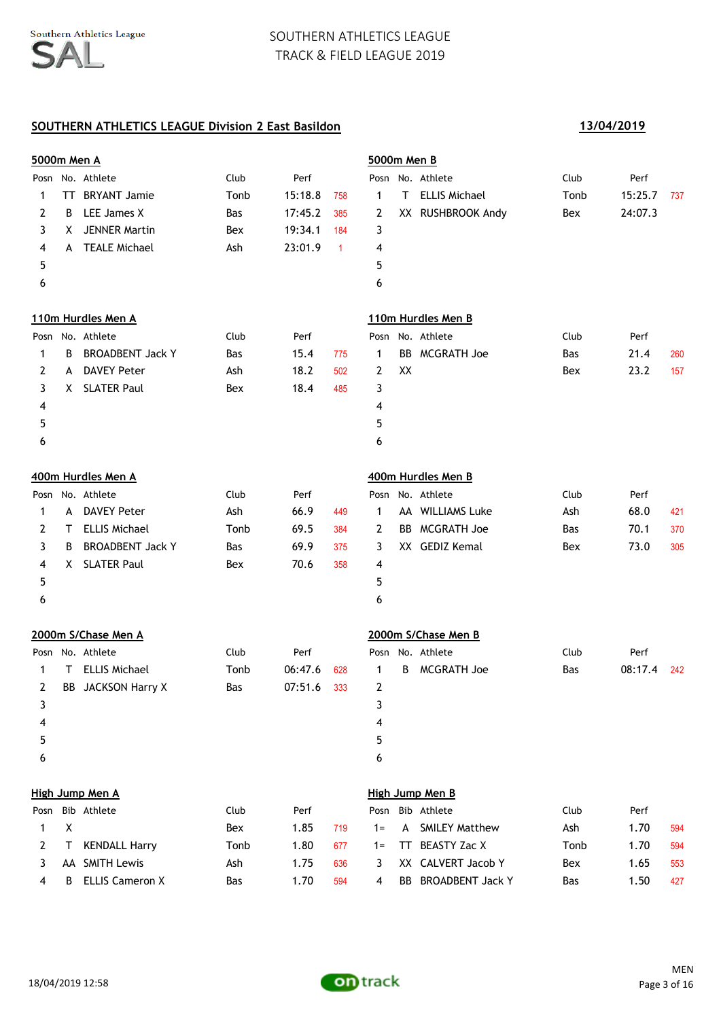## **SOUTHERN ATHLETICS LEAGUE Division 2 East Basildon 13/04/2019**

| <b>5000m Men A</b> |    |                         |            |         |              | 5000m Men B |           |                       |            |         |     |
|--------------------|----|-------------------------|------------|---------|--------------|-------------|-----------|-----------------------|------------|---------|-----|
|                    |    | Posn No. Athlete        | Club       | Perf    |              |             |           | Posn No. Athlete      | Club       | Perf    |     |
| 1                  | TT | <b>BRYANT Jamie</b>     | Tonb       | 15:18.8 | 758          | 1           | т         | <b>ELLIS Michael</b>  | Tonb       | 15:25.7 | 737 |
| 2                  | B  | LEE James X             | Bas        | 17:45.2 | 385          | 2           |           | XX RUSHBROOK Andy     | Bex        | 24:07.3 |     |
| 3                  | X. | <b>JENNER Martin</b>    | Bex        | 19:34.1 | 184          | 3           |           |                       |            |         |     |
| 4                  | A  | <b>TEALE Michael</b>    | Ash        | 23:01.9 | $\mathbf{1}$ | 4           |           |                       |            |         |     |
| 5                  |    |                         |            |         |              | 5           |           |                       |            |         |     |
| 6                  |    |                         |            |         |              | 6           |           |                       |            |         |     |
|                    |    | 110m Hurdles Men A      |            |         |              |             |           | 110m Hurdles Men B    |            |         |     |
|                    |    | Posn No. Athlete        | Club       | Perf    |              |             |           | Posn No. Athlete      | Club       | Perf    |     |
| 1                  | B  | <b>BROADBENT Jack Y</b> | Bas        | 15.4    | 775          | 1           | <b>BB</b> | MCGRATH Joe           | <b>Bas</b> | 21.4    | 260 |
| 2                  | A  | <b>DAVEY Peter</b>      | Ash        | 18.2    | 502          | 2           | XX        |                       | Bex        | 23.2    | 157 |
| 3                  | X. | <b>SLATER Paul</b>      | Bex        | 18.4    | 485          | 3           |           |                       |            |         |     |
| 4                  |    |                         |            |         |              | 4           |           |                       |            |         |     |
| 5                  |    |                         |            |         |              | 5           |           |                       |            |         |     |
| 6                  |    |                         |            |         |              | 6           |           |                       |            |         |     |
|                    |    | 400m Hurdles Men A      |            |         |              |             |           | 400m Hurdles Men B    |            |         |     |
|                    |    | Posn No. Athlete        | Club       | Perf    |              |             |           | Posn No. Athlete      | Club       | Perf    |     |
| $\mathbf{1}$       | A  | <b>DAVEY Peter</b>      | Ash        | 66.9    | 449          | 1           |           | AA WILLIAMS Luke      | Ash        | 68.0    | 421 |
| 2                  | Τ  | <b>ELLIS Michael</b>    | Tonb       | 69.5    | 384          | 2           | BB        | <b>MCGRATH Joe</b>    | <b>Bas</b> | 70.1    | 370 |
| 3                  | B  | <b>BROADBENT Jack Y</b> | Bas        | 69.9    | 375          | 3           |           | XX GEDIZ Kemal        | Bex        | 73.0    | 305 |
| 4                  | X. | <b>SLATER Paul</b>      | Bex        | 70.6    | 358          | 4           |           |                       |            |         |     |
| 5                  |    |                         |            |         |              | 5           |           |                       |            |         |     |
| 6                  |    |                         |            |         |              | 6           |           |                       |            |         |     |
|                    |    | 2000m S/Chase Men A     |            |         |              |             |           | 2000m S/Chase Men B   |            |         |     |
|                    |    | Posn No. Athlete        | Club       | Perf    |              |             |           | Posn No. Athlete      | Club       | Perf    |     |
| 1                  | т  | <b>ELLIS Michael</b>    | Tonb       | 06:47.6 | 628          | 1           | B         | <b>MCGRATH Joe</b>    | <b>Bas</b> | 08:17.4 | 242 |
| 2                  | BB | <b>JACKSON Harry X</b>  | <b>Bas</b> | 07:51.6 | 333          | 2           |           |                       |            |         |     |
| 3                  |    |                         |            |         |              | 3           |           |                       |            |         |     |
| 4                  |    |                         |            |         |              | 4           |           |                       |            |         |     |
| 5                  |    |                         |            |         |              | 5           |           |                       |            |         |     |
| 6                  |    |                         |            |         |              | 6           |           |                       |            |         |     |
|                    |    | High Jump Men A         |            |         |              |             |           | High Jump Men B       |            |         |     |
|                    |    | Posn Bib Athlete        | Club       | Perf    |              | Posn        |           | Bib Athlete           | Club       | Perf    |     |
| 1                  | X  |                         | Bex        | 1.85    | 719          | $1 =$       | A         | <b>SMILEY Matthew</b> | Ash        | 1.70    | 594 |
| 2                  | Τ  | <b>KENDALL Harry</b>    | Tonb       | 1.80    | 677          | $1 =$       | TT        | <b>BEASTY Zac X</b>   | Tonb       | 1.70    | 594 |
| 3                  |    | AA SMITH Lewis          | Ash        | 1.75    | 636          | 3           |           | XX CALVERT Jacob Y    | Bex        | 1.65    | 553 |
| 4                  | B  | <b>ELLIS Cameron X</b>  | Bas        | 1.70    | 594          | 4           |           | BB BROADBENT Jack Y   | Bas        | 1.50    | 427 |

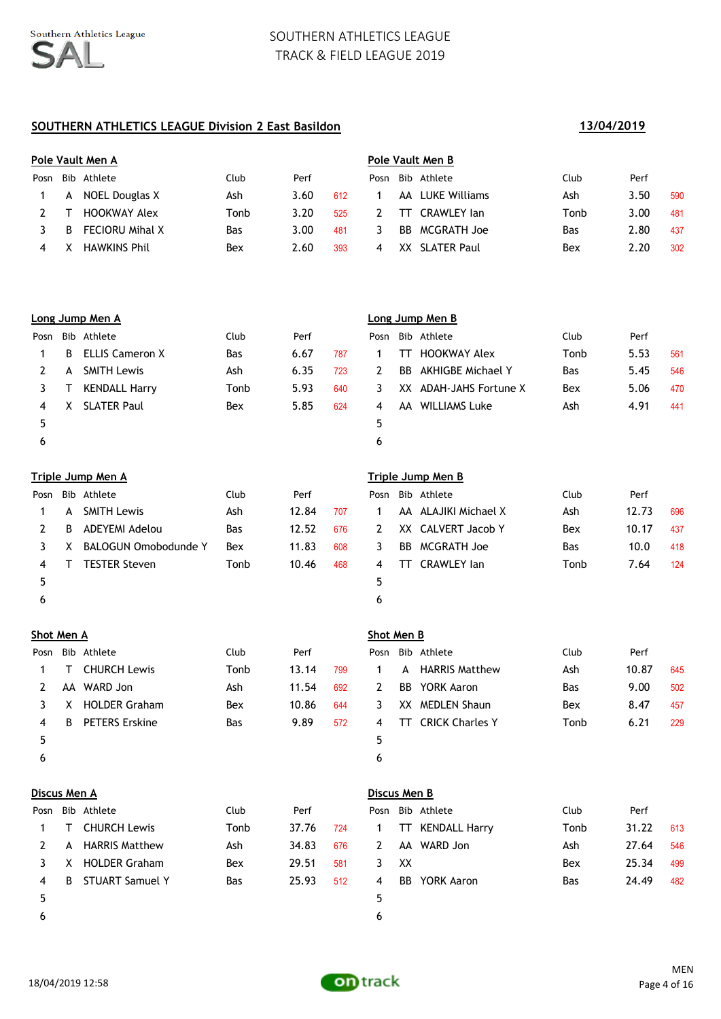### **SOUTHERN ATHLETICS LEAGUE Division 2 East Basildon 13/04/2019**

## **Pole Vault Men A Pole Vault Men B** Posn Bib Athlete Club Perf Posn Bib Athlete Club Perf 1 A NOEL Douglas X Ash 3.60 612 1 AA LUKE Williams Ash 3.50 590 2 T HOOKWAY Alex Tonb 3.20 525 2 TT CRAWLEY Ian Tonb 3.00 481 3 B FECIORU Mihal X Bas 3.00 481 3 BB MCGRATH Joe Bas 2.80 437 4 X HAWKINS Phil Bex 2.60 393 4 XX SLATER Paul Bex 2.20 302

|      |    | Long Jump Men A        |            |      |     | Loı |
|------|----|------------------------|------------|------|-----|-----|
| Posn |    | Bib Athlete            | Club       | Perf |     | Po: |
| 1    | B. | <b>ELLIS Cameron X</b> | <b>Bas</b> | 6.67 | 787 | 1   |
| 2    |    | A SMITH Lewis          | Ash        | 6.35 | 723 | 2   |
| 3    | T  | <b>KENDALL Harry</b>   | Tonb       | 5.93 | 640 | 3   |
| 4    |    | X SLATER Paul          | Bex        | 5.85 | 624 | 4   |
| 5    |    |                        |            |      |     | 5   |
| 6    |    |                        |            |      |     | 6   |

#### **Triple Jump Men A Triple Jump Men B**

| Posn |    | Bib Athlete                 | Club       | Perf  |     |    | Posn Bib Athlete     | Club | Perf |
|------|----|-----------------------------|------------|-------|-----|----|----------------------|------|------|
|      | A  | <b>SMITH Lewis</b>          | Ash        | 12.84 | 707 |    | AA ALAJIKI Michael X | Ash  | 12.7 |
|      | B. | ADEYEMI Adelou              | <b>Bas</b> | 12.52 | 676 | 2  | XX CALVERT Jacob Y   | Bex  | 10.1 |
|      | X  | <b>BALOGUN Omobodunde Y</b> | Bex        | 11.83 | 608 | 3. | BB MCGRATH Joe       | Bas  | 10.0 |
| 4    |    | <b>TESTER Steven</b>        | Tonb       | 10.46 | 468 | 4  | TT CRAWLEY lan       | Tonb | 7.64 |
|      |    |                             |            |       |     | 5  |                      |      |      |
| O    |    |                             |            |       |     | 6  |                      |      |      |

#### **Shot Men A Shot Men B**

| Posn |    | Bib Athlete           | Club       | Perf  |     | Posn |    | Bib Athlete            | Club       | Perf |
|------|----|-----------------------|------------|-------|-----|------|----|------------------------|------------|------|
|      | Т  | <b>CHURCH Lewis</b>   | Tonb       | 13.14 | 799 |      | A  | <b>HARRIS Matthew</b>  | Ash        | 10.8 |
|      | AA | WARD Jon              | Ash        | 11.54 | 692 | 2    | BB | YORK Aaron             | <b>Bas</b> | 9.00 |
|      | X  | <b>HOLDER Graham</b>  | Bex        | 10.86 | 644 | 3.   |    | XX MEDLEN Shaun        | Bex        | 8.47 |
| 4    | B. | <b>PETERS Erskine</b> | <b>Bas</b> | 9.89  | 572 | 4    | TТ | <b>CRICK Charles Y</b> | Tonb       | 6.21 |
|      |    |                       |            |       |     | 5    |    |                        |            |      |
| ь    |    |                       |            |       |     | 6    |    |                        |            |      |

|   |    | Posn Bib Athlete     | Club | Perf  |     |              |    | Posn Bib Athlete     | Club       | Perf  |     |
|---|----|----------------------|------|-------|-----|--------------|----|----------------------|------------|-------|-----|
|   | T. | <b>CHURCH Lewis</b>  | Tonb | 37.76 | 724 | $\mathbf{1}$ |    | TT KENDALL Harry     | Tonb       | 31.22 | 613 |
|   |    | A HARRIS Matthew     | Ash  | 34.83 | 676 | 2            |    | AA WARD Jon          | Ash        | 27.64 | 546 |
|   | X  | <b>HOLDER Graham</b> | Bex  | 29.51 | 581 | 3 I          | XX |                      | Bex        | 25.34 | 499 |
| 4 | B  | STUART Samuel Y      | Bas  | 25.93 | 512 | 4            |    | <b>BB</b> YORK Aaron | <b>Bas</b> | 24.49 | 482 |
| 5 |    |                      |      |       |     | 5.           |    |                      |            |       |     |
| 6 |    |                      |      |       |     |              |    |                      |            |       |     |

# **Long Jump Men A Long Jump Men B** Posn Bib Athlete Club Perf 1 TT HOOKWAY Alex Tonb 5.53 561 2 BB AKHIGBE Michael Y Bas 5.45 546 3 XX ADAH-JAHS Fortune X Bex 5.06 470 4 AA WILLIAMS Luke  $\overline{a}$  Ash  $\overline{a}$  4.91 441

|           |        | osn Bib Athlete          | Club       | Perf  |     |    | Posn Bib Athlete     | Club       | Perf  |     |
|-----------|--------|--------------------------|------------|-------|-----|----|----------------------|------------|-------|-----|
| $1 \quad$ |        | A SMITH Lewis            | Ash        | 12.84 | 707 |    | AA ALAJIKI Michael X | Ash        | 12.73 | 696 |
| 2         |        | B ADEYEMI Adelou         | <b>Bas</b> | 12.52 | 676 | 2  | XX CALVERT Jacob Y   | Bex        | 10.17 | 437 |
|           |        | 3 X BALOGUN Omobodunde Y | Bex        | 11.83 | 608 | 3. | BB MCGRATH Joe       | <b>Bas</b> | 10.0  | 418 |
| 4         | $\top$ | <b>TESTER Steven</b>     | Tonb       | 10.46 | 468 | 4  | TT CRAWLEY lan       | Tonb       | 7.64  | 124 |
| 5         |        |                          |            |       |     |    |                      |            |       |     |
|           |        |                          |            |       |     |    |                      |            |       |     |

|   | osn Bib Athlete         | Club       | Perf  |     |    | Posn Bib Athlete          | Club       | Perf  |     |
|---|-------------------------|------------|-------|-----|----|---------------------------|------------|-------|-----|
|   | 1 T CHURCH Lewis        | Tonb       | 13.14 | 799 |    | A HARRIS Matthew          | Ash        | 10.87 | 645 |
|   | 2 AA WARD Jon           | Ash        | 11.54 | 692 | 2  | BB YORK Aaron             | <b>Bas</b> | 9.00  | 502 |
|   | 3 X HOLDER Graham       | Bex        | 10.86 | 644 | 3. | XX MEDLEN Shaun           | Bex        | 8.47  | 457 |
| 4 | <b>B</b> PETERS Erskine | <b>Bas</b> | 9.89  | 572 | 4  | <b>TT</b> CRICK Charles Y | Tonb       | 6.21  | 229 |
| 5 |                         |            |       |     |    |                           |            |       |     |
| 6 |                         |            |       |     | h  |                           |            |       |     |

#### **Discus Men A Discus Men B**

|              |    | Posn Bib Athlete   | Club       | Perf  |     |
|--------------|----|--------------------|------------|-------|-----|
|              |    | 1 TT KENDALL Harry | Tonb       | 31.22 | 613 |
| <sup>2</sup> |    | AA WARD Jon        | Ash        | 27.64 | 546 |
| 3            | XX |                    | Bex        | 25.34 | 499 |
| 4            |    | BB YORK Aaron      | <b>Bas</b> | 24.49 | 482 |
| -5           |    |                    |            |       |     |
|              |    |                    |            |       |     |

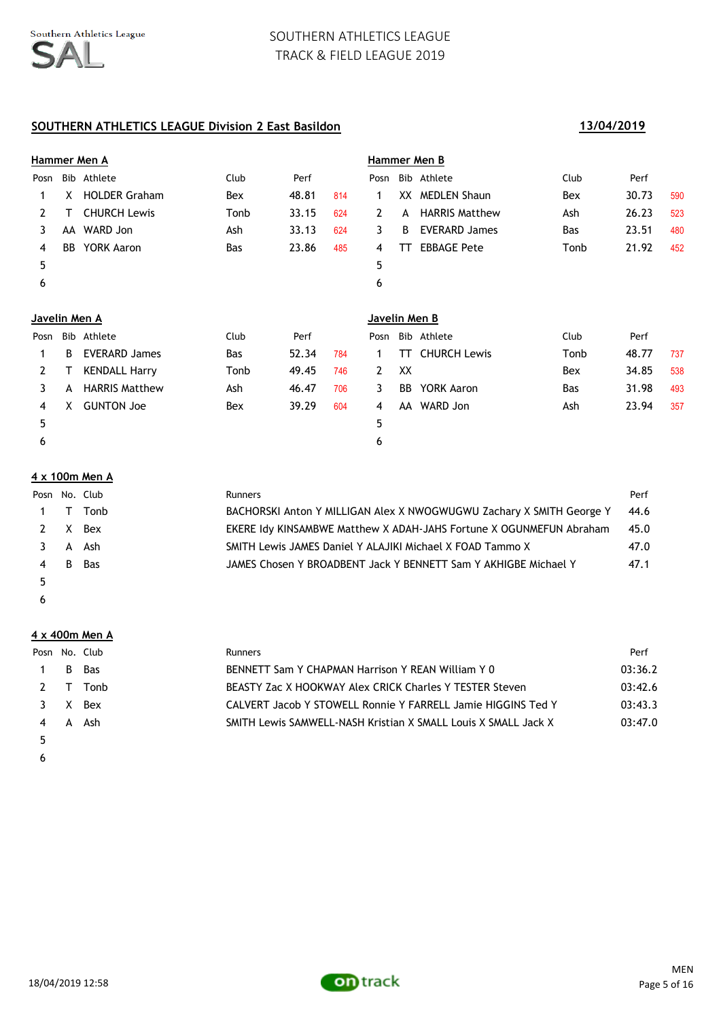## **SOUTHERN ATHLETICS LEAGUE Division 2 East Basildon 13/04/2019**

|               | Hammer Men A |                       |            |       |     | Hammer Men B  |    |                       |            |       |     |  |  |
|---------------|--------------|-----------------------|------------|-------|-----|---------------|----|-----------------------|------------|-------|-----|--|--|
| Posn          |              | Bib Athlete           | Club       | Perf  |     | Posn          |    | Bib Athlete           | Club       | Perf  |     |  |  |
| 1             | X.           | <b>HOLDER Graham</b>  | Bex        | 48.81 | 814 | 1             |    | XX MEDLEN Shaun       | Bex        | 30.73 | 590 |  |  |
| 2             | т            | <b>CHURCH Lewis</b>   | Tonb       | 33.15 | 624 | $\mathbf{2}$  | A  | <b>HARRIS Matthew</b> | Ash        | 26.23 | 523 |  |  |
| 3             | AA           | WARD Jon              | Ash        | 33.13 | 624 | 3             | B  | <b>EVERARD James</b>  | Bas        | 23.51 | 480 |  |  |
| 4             | <b>BB</b>    | <b>YORK Aaron</b>     | Bas        | 23.86 | 485 | 4             | тт | <b>EBBAGE Pete</b>    | Tonb       | 21.92 | 452 |  |  |
| 5             |              |                       |            |       |     | 5             |    |                       |            |       |     |  |  |
| 6             |              |                       |            |       |     | 6             |    |                       |            |       |     |  |  |
|               |              |                       |            |       |     |               |    |                       |            |       |     |  |  |
| Javelin Men A |              |                       |            |       |     | Javelin Men B |    |                       |            |       |     |  |  |
| Posn          |              | Bib Athlete           | Club       | Perf  |     | Posn          |    | Bib Athlete           | Club       | Perf  |     |  |  |
| 1             | B            | <b>EVERARD James</b>  | <b>Bas</b> | 52.34 | 784 | 1             | TТ | <b>CHURCH Lewis</b>   | Tonb       | 48.77 | 737 |  |  |
| $\mathbf{2}$  | т            | <b>KENDALL Harry</b>  | Tonb       | 49.45 | 746 | $\mathbf{2}$  | XX |                       | Bex        | 34.85 | 538 |  |  |
| 3             | A            | <b>HARRIS Matthew</b> | Ash        | 46.47 | 706 | 3             | BB | <b>YORK Aaron</b>     | <b>Bas</b> | 31.98 | 493 |  |  |
| 4             | X            | <b>GUNTON Joe</b>     | Bex        | 39.29 | 604 | 4             |    | AA WARD Jon           | Ash        | 23.94 | 357 |  |  |
| 5             |              |                       |            |       |     | 5             |    |                       |            |       |     |  |  |
| 6             |              |                       |            |       |     | 6             |    |                       |            |       |     |  |  |

### **4 x 100m Men A**

| Posn No. Club |    |            | Runners                                                              | Perf |
|---------------|----|------------|----------------------------------------------------------------------|------|
|               |    | 1 T Tonb   | BACHORSKI Anton Y MILLIGAN Alex X NWOGWUGWU Zachary X SMITH George Y | 44.6 |
|               |    | 2 X Bex    | EKERE Idy KINSAMBWE Matthew X ADAH-JAHS Fortune X OGUNMEFUN Abraham  | 45.0 |
|               |    | 3 A Ash    | SMITH Lewis JAMES Daniel Y ALAJIKI Michael X FOAD Tammo X            | 47.0 |
| 4             | -B | <b>Bas</b> | JAMES Chosen Y BROADBENT Jack Y BENNETT Sam Y AKHIGBE Michael Y      | 47.1 |
|               |    |            |                                                                      |      |

 $\epsilon$ 

#### **4 x 400m Men A**

|              | Posn No. Club | <b>Runners</b>                                                 | Perf    |
|--------------|---------------|----------------------------------------------------------------|---------|
| $\mathbf{1}$ | B Bas         | BENNETT Sam Y CHAPMAN Harrison Y REAN William Y 0              | 03:36.2 |
|              | 2 T Tonb      | BEASTY Zac X HOOKWAY Alex CRICK Charles Y TESTER Steven        | 03:42.6 |
|              | 3 X Bex       | CALVERT Jacob Y STOWELL Ronnie Y FARRELL Jamie HIGGINS Ted Y   | 03:43.3 |
|              | 4 A Ash       | SMITH Lewis SAMWELL-NASH Kristian X SMALL Louis X SMALL Jack X | 03:47.0 |
|              |               |                                                                |         |

 $\epsilon$ 

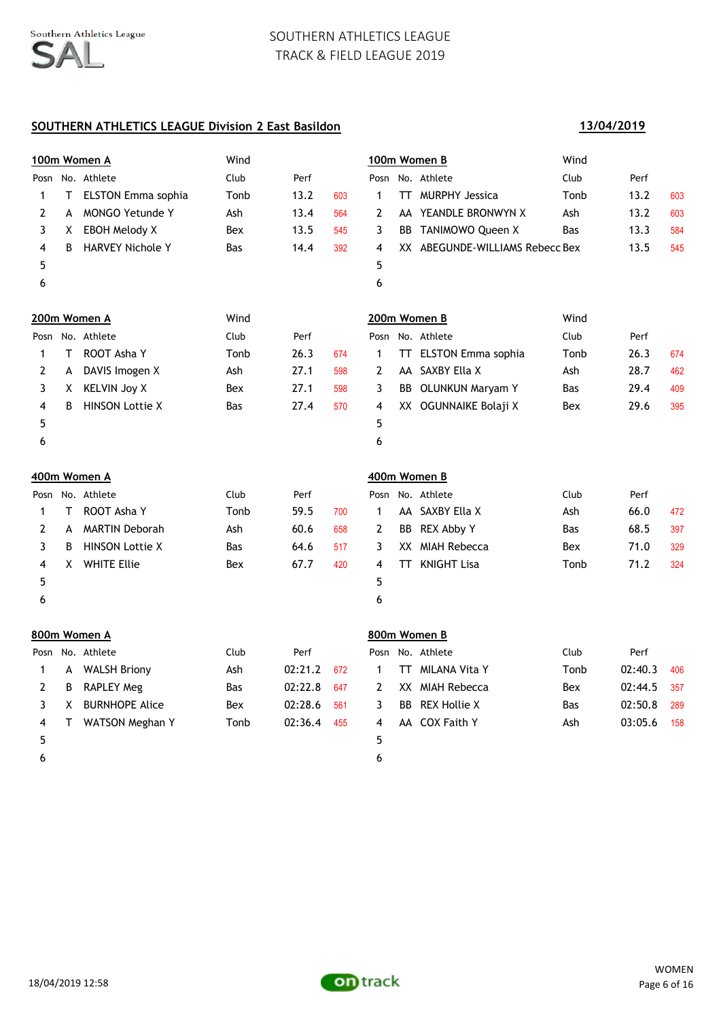### **SOUTHERN ATHLETICS LEAGUE Division 2 East Basildon**

# **100m Women A** Wind **100m Women B** Wind Posn No. Athlete Club Perf Posn No. Athlete Club Perf 1 T ELSTON Emma sophia Tonb 13.2 603 1 TT MURPHY Jessica Tonb 13.2 603 2 A MONGO Yetunde Y Ash 13.4 564 2 AA YEANDLE BRONWYN X Ash 13.2 603 3 X EBOH Melody X Bex 13.5 545 3 BB TANIMOWO Queen X Bas 13.3 584 4 B HARVEY Nichole Y Bas 14.4 392 4 XX ABEGUNDE-WILLIAMS Rebecc Bex 13.5 545  $5$  5  $6$ **200m Women A** Wind **200m Women B** Wind Posn No. Athlete **Club** Perf Posn No. Athlete Club Perf Posn Posn No. Athlete Club Perf 1 T ROOT Asha Y Tonb 26.3 674 1 TT ELSTON Emma sophia Tonb 26.3 674 2 A DAVIS Imogen X Ash 27.1 598 2 AA SAXBY Ella X Ash 28.7 462 3 X KELVIN Joy X Bex 27.1 598 3 BB OLUNKUN Maryam Y Bas 29.4 409 4 B HINSON Lottie X Bas 27.4 570 4 XX OGUNNAIKE Bolaji X Bex 29.6 395  $5$  5  $6$ **400m Women A 400m Women B** Posn No. Athlete Club Perf Posn No. Athlete Club Perf 1 T ROOT Asha Y Tomb 59.5 700 1 AA SAXBY Ella X Ash 66.0 472 2 A MARTIN Deborah Ash 60.6 658 2 BB REX Abby Y Bas 68.5 397 3 B HINSON Lottie X Bas 64.6 517 3 XX MIAH Rebecca Bex 71.0 329 4 X WHITE Ellie Bex 67.7 420 4 TT KNIGHT Lisa Tonb 71.2 324  $5$  5  $6$ **800m Women A 800m Women B** Posn No. Athlete Club Perf Posn No. Athlete Club Perf 1 A WALSH Briony Ash 02:21.2 672 1 TT MILANA Vita Y Tonb 02:40.3 406 2 B RAPLEY Meg Bas 02:22.8 647 2 XX MIAH Rebecca Bex 02:44.5 357 3 X BURNHOPE Alice Bex 02:28.6 561 3 BB REX Hollie X Bas 02:50.8 289 4 T WATSON Meghan Y Tonb 02:36.4 455 4 AA COX Faith Y Ash 03:05.6 158  $5$  5

 $6$ 

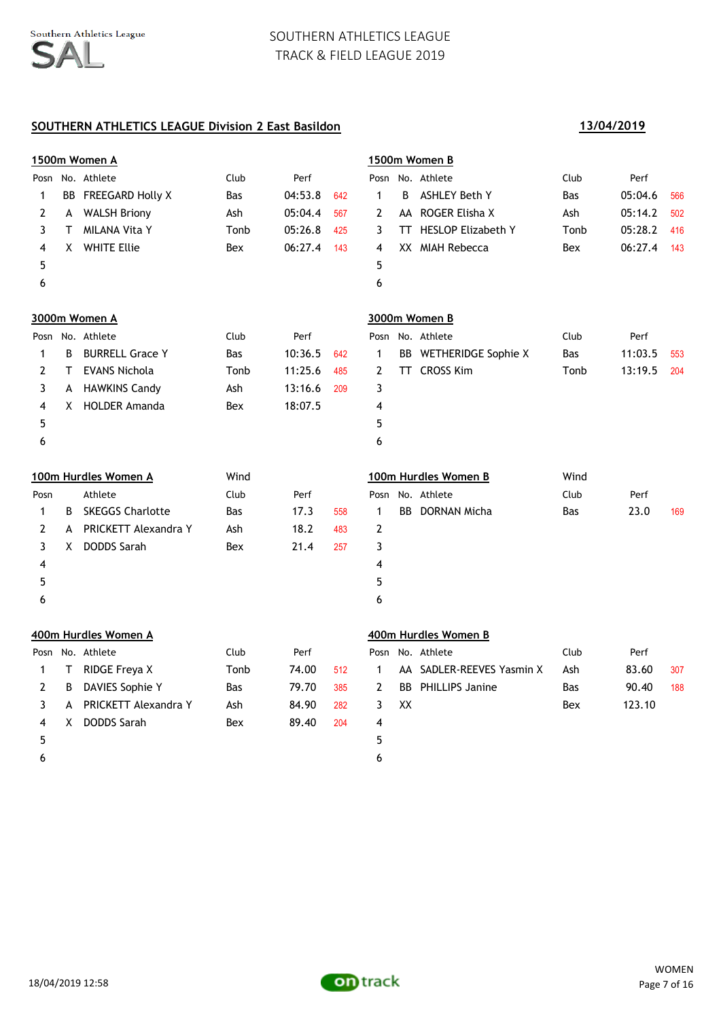### **SOUTHERN ATHLETICS LEAGUE Division 2 East Basildon 13/04/2019**

|      | 1500m Women A |                         |      |         |     | 1500m Women B  |    |                           |            |         |     |  |
|------|---------------|-------------------------|------|---------|-----|----------------|----|---------------------------|------------|---------|-----|--|
|      |               | Posn No. Athlete        | Club | Perf    |     |                |    | Posn No. Athlete          | Club       | Perf    |     |  |
| 1    |               | BB FREEGARD Holly X     | Bas  | 04:53.8 | 642 | $\mathbf{1}$   | B  | <b>ASHLEY Beth Y</b>      | <b>Bas</b> | 05:04.6 | 566 |  |
| 2    | A             | <b>WALSH Briony</b>     | Ash  | 05:04.4 | 567 | 2              |    | AA ROGER Elisha X         | Ash        | 05:14.2 | 502 |  |
| 3    | T.            | <b>MILANA Vita Y</b>    | Tonb | 05:26.8 | 425 | 3              |    | TT HESLOP Elizabeth Y     | Tonb       | 05:28.2 | 416 |  |
| 4    | X.            | <b>WHITE Ellie</b>      | Bex  | 06:27.4 | 143 | 4              |    | XX MIAH Rebecca           | Bex        | 06:27.4 | 143 |  |
| 5    |               |                         |      |         |     | 5              |    |                           |            |         |     |  |
| 6    |               |                         |      |         |     | 6              |    |                           |            |         |     |  |
|      |               | 3000m Women A           |      |         |     |                |    | 3000m Women B             |            |         |     |  |
|      |               | Posn No. Athlete        | Club | Perf    |     |                |    | Posn No. Athlete          | Club       | Perf    |     |  |
| 1    | B             | <b>BURRELL Grace Y</b>  | Bas  | 10:36.5 | 642 | 1              |    | BB WETHERIDGE Sophie X    | Bas        | 11:03.5 | 553 |  |
| 2    | T.            | <b>EVANS Nichola</b>    | Tonb | 11:25.6 | 485 | 2              |    | TT CROSS Kim              | Tonb       | 13:19.5 | 204 |  |
| 3    |               | A HAWKINS Candy         | Ash  | 13:16.6 | 209 | 3              |    |                           |            |         |     |  |
| 4    | X.            | <b>HOLDER Amanda</b>    | Bex  | 18:07.5 |     | 4              |    |                           |            |         |     |  |
| 5    |               |                         |      |         |     | 5              |    |                           |            |         |     |  |
| 6    |               |                         |      |         |     | 6              |    |                           |            |         |     |  |
|      |               | 100m Hurdles Women A    | Wind |         |     |                |    | 100m Hurdles Women B      | Wind       |         |     |  |
| Posn |               | Athlete                 | Club | Perf    |     | Posn           |    | No. Athlete               | Club       | Perf    |     |  |
| 1    | B             | <b>SKEGGS Charlotte</b> | Bas  | 17.3    | 558 | $\mathbf{1}$   |    | <b>BB</b> DORNAN Micha    | Bas        | 23.0    | 169 |  |
| 2    | A             | PRICKETT Alexandra Y    | Ash  | 18.2    | 483 | $\mathbf{2}$   |    |                           |            |         |     |  |
| 3    | X.            | <b>DODDS Sarah</b>      | Bex  | 21.4    | 257 | 3              |    |                           |            |         |     |  |
| 4    |               |                         |      |         |     | 4              |    |                           |            |         |     |  |
| 5    |               |                         |      |         |     | 5              |    |                           |            |         |     |  |
| 6    |               |                         |      |         |     | 6              |    |                           |            |         |     |  |
|      |               | 400m Hurdles Women A    |      |         |     |                |    | 400m Hurdles Women B      |            |         |     |  |
|      |               | Posn No. Athlete        | Club | Perf    |     |                |    | Posn No. Athlete          | Club       | Perf    |     |  |
| 1    | Τ             | RIDGE Freya X           | Tonb | 74.00   | 512 | $\mathbf{1}$   |    | AA SADLER-REEVES Yasmin X | Ash        | 83.60   | 307 |  |
| 2    | В             | DAVIES Sophie Y         | Bas  | 79.70   | 385 | $\overline{2}$ |    | <b>BB</b> PHILLIPS Janine | Bas        | 90.40   | 188 |  |
| 3    | A             | PRICKETT Alexandra Y    | Ash  | 84.90   | 282 | 3              | XX |                           | Bex        | 123.10  |     |  |
| 4    | X.            | <b>DODDS Sarah</b>      | Bex  | 89.40   | 204 | 4              |    |                           |            |         |     |  |
| 5    |               |                         |      |         |     | 5              |    |                           |            |         |     |  |
| 6    |               |                         |      |         |     | 6              |    |                           |            |         |     |  |

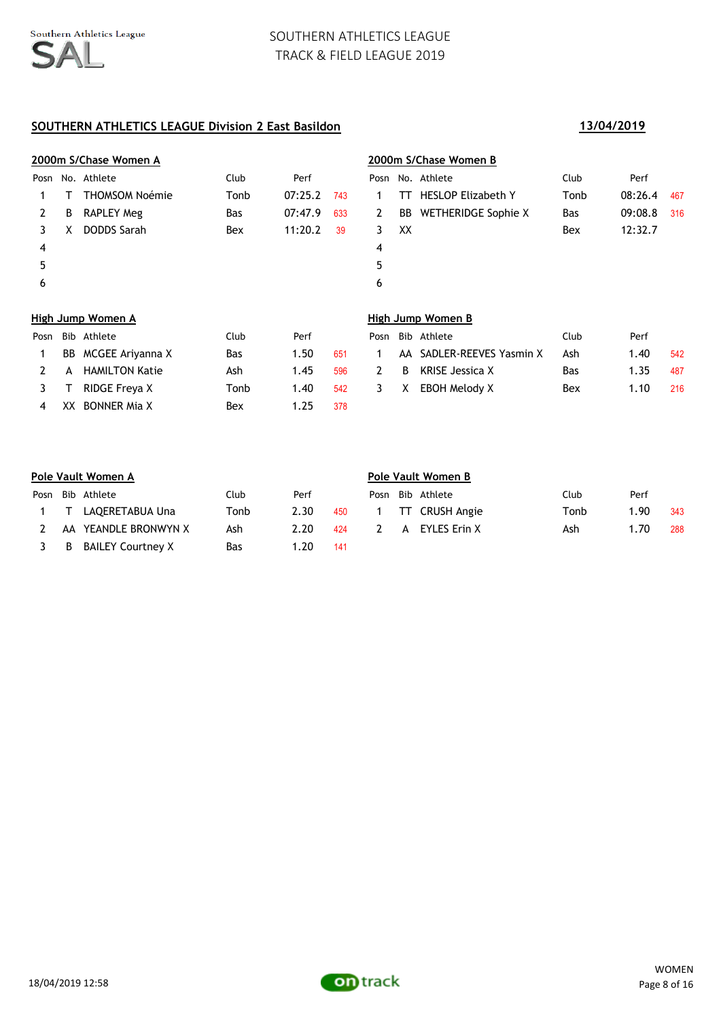# **SOUTHERN ATHLETICS LEAGUE Division 2 East Basildon 13/04/2019**

4 XX BONNER Mia X Bex 1.25 378

|      |     | 2000m S/Chase Women A |            |         |     |      |    | 2000m S/Chase Women B      |            |         |     |
|------|-----|-----------------------|------------|---------|-----|------|----|----------------------------|------------|---------|-----|
| Posn |     | No. Athlete           | Club       | Perf    |     | Posn |    | No. Athlete                | Club       | Perf    |     |
|      |     | <b>THOMSOM Noémie</b> | Tonb       | 07:25.2 | 743 |      | тт | <b>HESLOP Elizabeth Y</b>  | Tonb       | 08:26.4 | 467 |
| 2    | B   | <b>RAPLEY Meg</b>     | Bas        | 07:47.9 | 633 | 2    | BB | <b>WETHERIDGE Sophie X</b> | <b>Bas</b> | 09:08.8 | 316 |
| 3    |     | <b>DODDS Sarah</b>    | Bex        | 11:20.2 | 39  | 3    | XX |                            | Bex        | 12:32.7 |     |
| 4    |     |                       |            |         |     | 4    |    |                            |            |         |     |
| 5    |     |                       |            |         |     | 5    |    |                            |            |         |     |
| 6    |     |                       |            |         |     | 6    |    |                            |            |         |     |
|      |     |                       |            |         |     |      |    |                            |            |         |     |
|      |     | High Jump Women A     |            |         |     |      |    | High Jump Women B          |            |         |     |
| Posn | Bib | Athlete               | Club       | Perf    |     | Posn |    | Bib Athlete                | Club       | Perf    |     |
|      | BB  | MCGEE Ariyanna X      | <b>Bas</b> | 1.50    | 651 |      | AA | SADLER-REEVES Yasmin X     | Ash        | 1.40    | 542 |

2 A HAMILTON Katie  $A$ sh 1.45 596 2 B KRISE Jessica X Bas 1.35 487 3 T RIDGE Freya X Tonb 1.40 542 3 X EBOH Melody X Bex 1.10 216

|      | Pole Vault Women A |                          |      |      |     |   | Pole Vault Women B |                  |      |      |     |  |  |
|------|--------------------|--------------------------|------|------|-----|---|--------------------|------------------|------|------|-----|--|--|
| Posn |                    | Bib Athlete              | Club | Perf |     |   |                    | Posn Bib Athlete | Club | Perf |     |  |  |
|      | 1 T                | LAQERETABUA Una          | Tonb | 2.30 | 450 |   |                    | TT CRUSH Angie   | Tonb | 1.90 | 343 |  |  |
|      |                    | AA YEANDLE BRONWYN X     | Ash  | 2.20 | 424 | 2 |                    | A EYLES Erin X   | Ash  | 1.70 | 288 |  |  |
|      | B                  | <b>BAILEY Courtney X</b> | Bas  | 1.20 | 141 |   |                    |                  |      |      |     |  |  |

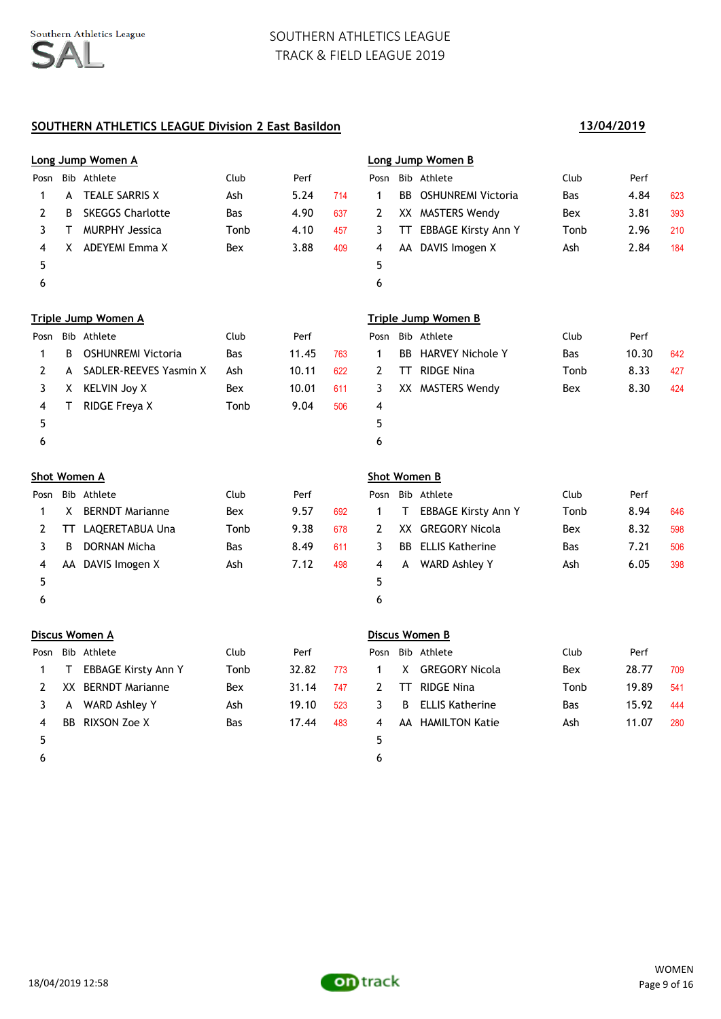## **SOUTHERN ATHLETICS LEAGUE Division 2 East Basildon 13/04/2019**

|                     |    | Long Jump Women A          |            |       |     |                     |    | Long Jump Women B            |            |       |     |
|---------------------|----|----------------------------|------------|-------|-----|---------------------|----|------------------------------|------------|-------|-----|
| Posn                |    | Bib Athlete                | Club       | Perf  |     | Posn                |    | Bib Athlete                  | Club       | Perf  |     |
| $\mathbf{1}$        | A  | <b>TEALE SARRIS X</b>      | Ash        | 5.24  | 714 | $\mathbf{1}$        |    | <b>BB</b> OSHUNREMI Victoria | <b>Bas</b> | 4.84  | 623 |
| 2                   | B  | <b>SKEGGS Charlotte</b>    | <b>Bas</b> | 4.90  | 637 | 2                   |    | XX MASTERS Wendy             | Bex        | 3.81  | 393 |
| 3                   | Τ  | <b>MURPHY Jessica</b>      | Tonb       | 4.10  | 457 | 3                   |    | TT EBBAGE Kirsty Ann Y       | Tonb       | 2.96  | 210 |
| 4                   |    | X ADEYEMI Emma X           | Bex        | 3.88  | 409 | 4                   |    | AA DAVIS Imogen X            | Ash        | 2.84  | 184 |
| 5                   |    |                            |            |       |     | 5                   |    |                              |            |       |     |
| 6                   |    |                            |            |       |     | 6                   |    |                              |            |       |     |
|                     |    | <b>Triple Jump Women A</b> |            |       |     |                     |    | <b>Triple Jump Women B</b>   |            |       |     |
| Posn                |    | Bib Athlete                | Club       | Perf  |     | Posn                |    | Bib Athlete                  | Club       | Perf  |     |
| 1                   | B  | <b>OSHUNREMI Victoria</b>  | Bas        | 11.45 | 763 | $\mathbf{1}$        |    | <b>BB</b> HARVEY Nichole Y   | <b>Bas</b> | 10.30 | 642 |
| $\overline{2}$      | A  | SADLER-REEVES Yasmin X     | Ash        | 10.11 | 622 | $\mathbf{2}$        |    | <b>TT</b> RIDGE Nina         | Tonb       | 8.33  | 427 |
| 3                   | X. | <b>KELVIN Joy X</b>        | Bex        | 10.01 | 611 | 3                   |    | XX MASTERS Wendy             | Bex        | 8.30  | 424 |
| 4                   | Τ  | RIDGE Freya X              | Tonb       | 9.04  | 506 | 4                   |    |                              |            |       |     |
| 5                   |    |                            |            |       |     | 5                   |    |                              |            |       |     |
| 6                   |    |                            |            |       |     | 6                   |    |                              |            |       |     |
| <b>Shot Women A</b> |    |                            |            |       |     | <b>Shot Women B</b> |    |                              |            |       |     |
| Posn                |    | Bib Athlete                | Club       | Perf  |     | Posn                |    | Bib Athlete                  | Club       | Perf  |     |
| 1                   | X. | <b>BERNDT Marianne</b>     | Bex        | 9.57  | 692 | 1                   | T. | <b>EBBAGE Kirsty Ann Y</b>   | Tonb       | 8.94  | 646 |
| 2                   | TT | LAQERETABUA Una            | Tonb       | 9.38  | 678 | 2                   |    | XX GREGORY Nicola            | Bex        | 8.32  | 598 |
| 3                   | B  | DORNAN Micha               | <b>Bas</b> | 8.49  | 611 | 3                   |    | <b>BB</b> ELLIS Katherine    | Bas        | 7.21  | 506 |
| 4                   |    | AA DAVIS Imogen X          | Ash        | 7.12  | 498 | 4                   | A  | WARD Ashley Y                | Ash        | 6.05  | 398 |
|                     |    |                            |            |       |     |                     |    |                              |            |       |     |
| 5                   |    |                            |            |       |     | 5                   |    |                              |            |       |     |
| 6                   |    |                            |            |       |     | 6                   |    |                              |            |       |     |
|                     |    | Discus Women A             |            |       |     |                     |    | Discus Women B               |            |       |     |
| Posn                |    | Bib Athlete                | Club       | Perf  |     | Posn                |    | Bib Athlete                  | Club       | Perf  |     |
| $\mathbf{1}$        | T. | <b>EBBAGE Kirsty Ann Y</b> | Tonb       | 32.82 | 773 | $\mathbf{1}$        |    | X GREGORY Nicola             | Bex        | 28.77 | 709 |
| 2                   |    | XX BERNDT Marianne         | Bex        | 31.14 | 747 | 2                   |    | <b>TT</b> RIDGE Nina         | Tonb       | 19.89 | 541 |
| 3                   | A  | WARD Ashley Y              | Ash        | 19.10 | 523 | 3                   | B  | <b>ELLIS Katherine</b>       | <b>Bas</b> | 15.92 | 444 |
| 4                   |    | BB RIXSON Zoe X            | Bas        | 17.44 | 483 | 4                   |    | AA HAMILTON Katie            | Ash        | 11.07 | 280 |
| 5                   |    |                            |            |       |     | 5                   |    |                              |            |       |     |
| 6                   |    |                            |            |       |     | 6                   |    |                              |            |       |     |

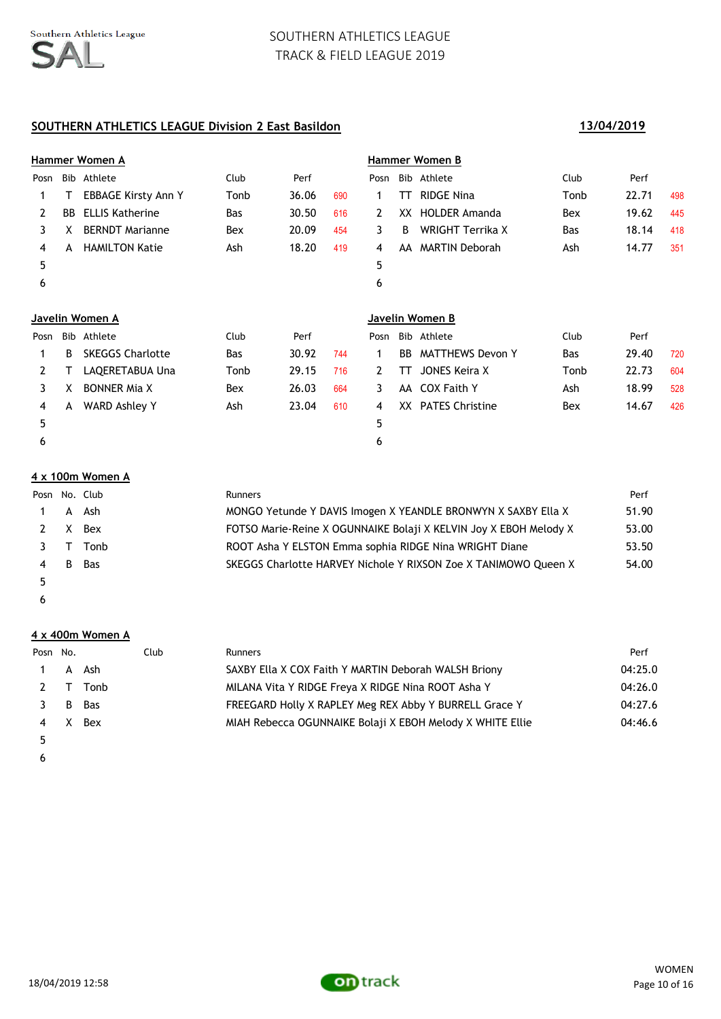## **SOUTHERN ATHLETICS LEAGUE Division 2 East Basildon 13/04/2019**

|              |     | Hammer Women A             |      |       |     |              |     | Hammer Women B          |      |       |     |
|--------------|-----|----------------------------|------|-------|-----|--------------|-----|-------------------------|------|-------|-----|
| Posn         |     | Bib Athlete                | Club | Perf  |     | Posn         |     | Bib Athlete             | Club | Perf  |     |
| 1            | т   | <b>EBBAGE Kirsty Ann Y</b> | Tonb | 36.06 | 690 | 1            | TT  | <b>RIDGE Nina</b>       | Tonb | 22.71 | 498 |
| 2            | BB  | <b>ELLIS Katherine</b>     | Bas  | 30.50 | 616 | 2            | XX. | <b>HOLDER Amanda</b>    | Bex  | 19.62 | 445 |
| 3            | X   | <b>BERNDT Marianne</b>     | Bex  | 20.09 | 454 | 3            | B   | <b>WRIGHT Terrika X</b> | Bas  | 18.14 | 418 |
| 4            | A   | <b>HAMILTON Katie</b>      | Ash  | 18.20 | 419 | 4            | AA  | <b>MARTIN Deborah</b>   | Ash  | 14.77 | 351 |
| 5            |     |                            |      |       |     | 5            |     |                         |      |       |     |
| 6            |     |                            |      |       |     | 6            |     |                         |      |       |     |
|              |     | Javelin Women A            |      |       |     |              |     | Javelin Women B         |      |       |     |
| Posn         | Bib | Athlete                    | Club | Perf  |     | Posn         | Bib | Athlete                 | Club | Perf  |     |
|              | В   | <b>SKEGGS Charlotte</b>    | Bas  | 30.92 | 744 | 1            | BB  | <b>MATTHEWS Devon Y</b> | Bas  | 29.40 | 720 |
| $\mathbf{2}$ | т   | LAQERETABUA Una            | Tonb | 29.15 | 716 | $\mathbf{2}$ | TТ  | <b>JONES Keira X</b>    | Tonb | 22.73 | 604 |
| 3            | x   | <b>BONNER Mia X</b>        | Bex  | 26.03 | 664 | 3            | AA  | <b>COX Faith Y</b>      | Ash  | 18.99 | 528 |
| 4            | A   | <b>WARD Ashley Y</b>       | Ash  | 23.04 | 610 | 4            |     | XX PATES Christine      | Bex  | 14.67 | 426 |
| 5            |     |                            |      |       |     | 5            |     |                         |      |       |     |
|              |     |                            |      |       |     |              |     |                         |      |       |     |

### **4 x 100m Women A**

|   |    | Posn No. Club | <b>Runners</b>                                                    | Perf  |
|---|----|---------------|-------------------------------------------------------------------|-------|
|   |    | 1 A Ash       | MONGO Yetunde Y DAVIS Imogen X YEANDLE BRONWYN X SAXBY Ella X     | 51.90 |
|   |    | 2 X Bex       | FOTSO Marie-Reine X OGUNNAIKE Bolaji X KELVIN Joy X EBOH Melody X | 53.00 |
|   |    | 3 T Tonb      | ROOT Asha Y ELSTON Emma sophia RIDGE Nina WRIGHT Diane            | 53.50 |
| 4 | B. | <b>Bas</b>    | SKEGGS Charlotte HARVEY Nichole Y RIXSON Zoe X TANIMOWO Queen X   | 54.00 |
|   |    |               |                                                                   |       |

 $\epsilon$ 

### **4 x 400m Women A**

| Posn No. |          | <b>Club</b> | <b>Runners</b>                                            | Perf    |
|----------|----------|-------------|-----------------------------------------------------------|---------|
|          | 1 A Ash  |             | SAXBY Ella X COX Faith Y MARTIN Deborah WALSH Briony      | 04:25.0 |
|          | 2 T Tonb |             | MILANA Vita Y RIDGE Freya X RIDGE Nina ROOT Asha Y        | 04:26.0 |
|          | B Bas    |             | FREEGARD Holly X RAPLEY Meg REX Abby Y BURRELL Grace Y    | 04:27.6 |
| 4 X      | Bex      |             | MIAH Rebecca OGUNNAIKE Bolaji X EBOH Melody X WHITE Ellie | 04:46.6 |
|          |          |             |                                                           |         |

 $\epsilon$ 

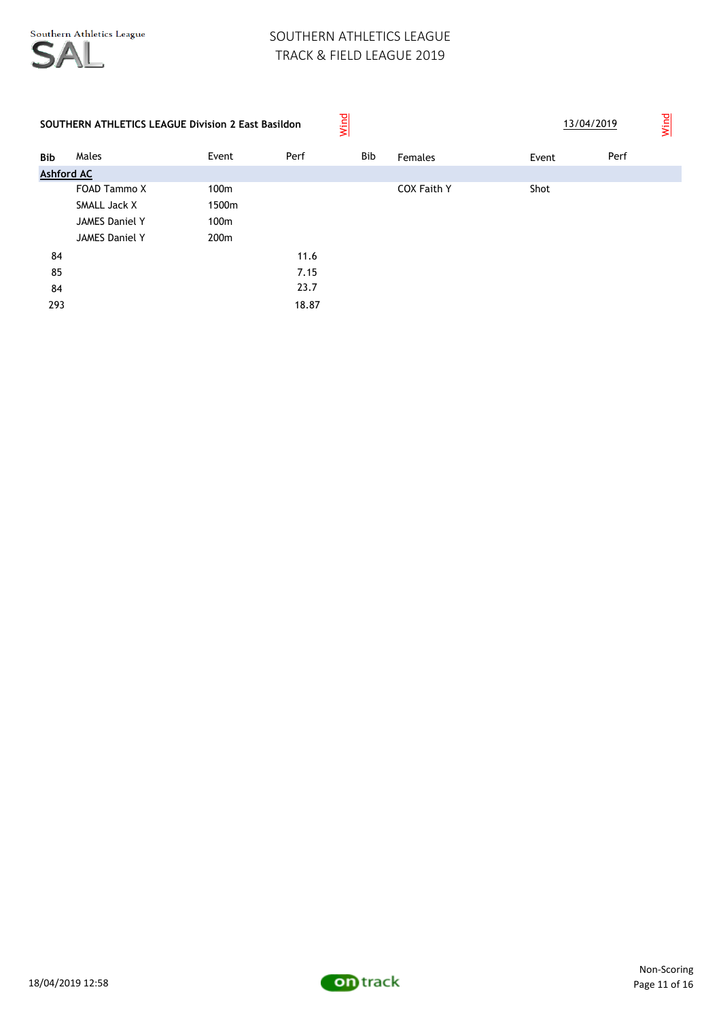| <b>SOUTHERN ATHLETICS LEAGUE Division 2 East Basildon</b> |                       |                  |       | Wind       |                    | 13/04/2019 |      | Wind |
|-----------------------------------------------------------|-----------------------|------------------|-------|------------|--------------------|------------|------|------|
| <b>Bib</b>                                                | Males                 | Event            | Perf  | <b>Bib</b> | Females            | Event      | Perf |      |
| <b>Ashford AC</b>                                         |                       |                  |       |            |                    |            |      |      |
|                                                           | FOAD Tammo X          | 100m             |       |            | <b>COX Faith Y</b> | Shot       |      |      |
|                                                           | SMALL Jack X          | 1500m            |       |            |                    |            |      |      |
|                                                           | <b>JAMES Daniel Y</b> | 100 <sub>m</sub> |       |            |                    |            |      |      |
|                                                           | <b>JAMES Daniel Y</b> | 200 <sub>m</sub> |       |            |                    |            |      |      |
| 84                                                        |                       |                  | 11.6  |            |                    |            |      |      |
| 85                                                        |                       |                  | 7.15  |            |                    |            |      |      |
| 84                                                        |                       |                  | 23.7  |            |                    |            |      |      |
| 293                                                       |                       |                  | 18.87 |            |                    |            |      |      |

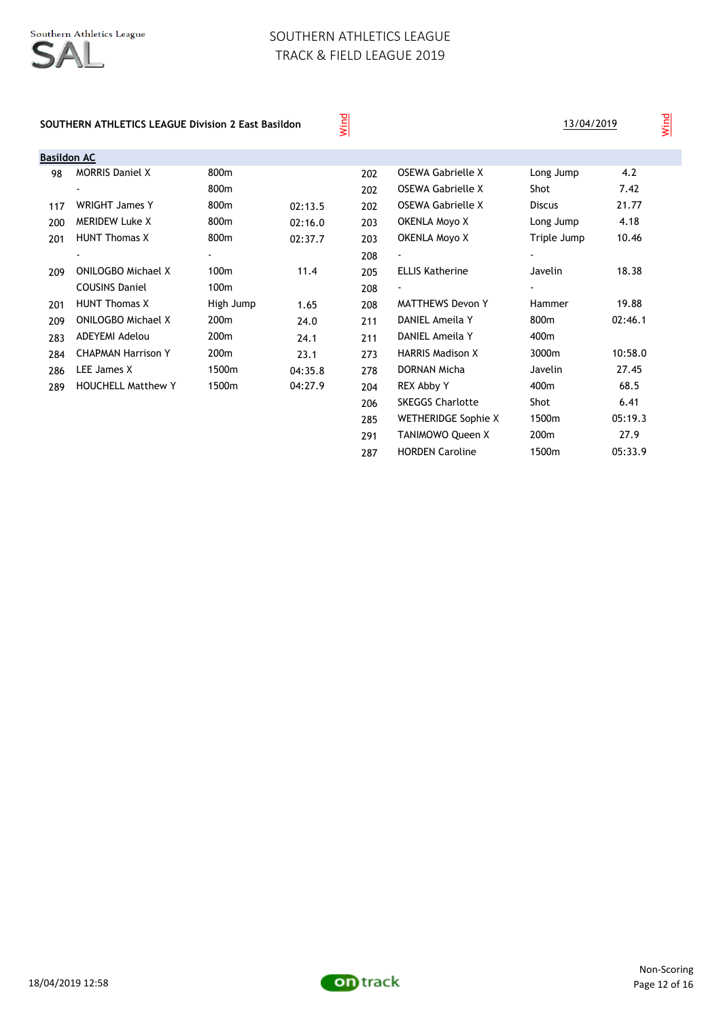#### **SOUTHERN ATHLETICS LEAGUE Division 2 East Basildon**

Wind

| 13/04/2019 |  |
|------------|--|
|            |  |

291 TANIMOWO Queen X 200m 27.9 287 HORDEN Caroline 1500m 05:33.9

| Basildon AC |                           |                  |         |     |                            |                          |         |
|-------------|---------------------------|------------------|---------|-----|----------------------------|--------------------------|---------|
| 98          | <b>MORRIS Daniel X</b>    | 800m             |         | 202 | OSEWA Gabrielle X          | Long Jump                | 4.2     |
|             |                           | 800m             |         | 202 | OSEWA Gabrielle X          | Shot                     | 7.42    |
| 117         | <b>WRIGHT James Y</b>     | 800m             | 02:13.5 | 202 | <b>OSEWA Gabrielle X</b>   | <b>Discus</b>            | 21.77   |
| 200         | <b>MERIDEW Luke X</b>     | 800m             | 02:16.0 | 203 | OKENLA Moyo X              | Long Jump                | 4.18    |
| 201         | <b>HUNT Thomas X</b>      | 800m             | 02:37.7 | 203 | <b>OKENLA Moyo X</b>       | Triple Jump              | 10.46   |
|             |                           |                  |         | 208 |                            | $\overline{\phantom{a}}$ |         |
| 209         | <b>ONILOGBO Michael X</b> | 100m             | 11.4    | 205 | <b>ELLIS Katherine</b>     | Javelin                  | 18.38   |
|             | <b>COUSINS Daniel</b>     | 100m             |         | 208 | $\overline{\phantom{a}}$   | $\blacksquare$           |         |
| 201         | <b>HUNT Thomas X</b>      | High Jump        | 1.65    | 208 | <b>MATTHEWS Devon Y</b>    | Hammer                   | 19.88   |
| 209         | <b>ONILOGBO Michael X</b> | 200 <sub>m</sub> | 24.0    | 211 | DANIEL Ameila Y            | 800m                     | 02:46.1 |
| 283         | ADEYEMI Adelou            | 200 <sub>m</sub> | 24.1    | 211 | DANIEL Ameila Y            | 400m                     |         |
| 284         | <b>CHAPMAN Harrison Y</b> | 200 <sub>m</sub> | 23.1    | 273 | <b>HARRIS Madison X</b>    | 3000m                    | 10:58.0 |
| 286         | LEE James X               | 1500m            | 04:35.8 | 278 | <b>DORNAN Micha</b>        | Javelin                  | 27.45   |
| 289         | <b>HOUCHELL Matthew Y</b> | 1500m            | 04:27.9 | 204 | REX Abby Y                 | 400m                     | 68.5    |
|             |                           |                  |         | 206 | <b>SKEGGS Charlotte</b>    | Shot                     | 6.41    |
|             |                           |                  |         | 285 | <b>WETHERIDGE Sophie X</b> | 1500m                    | 05:19.3 |

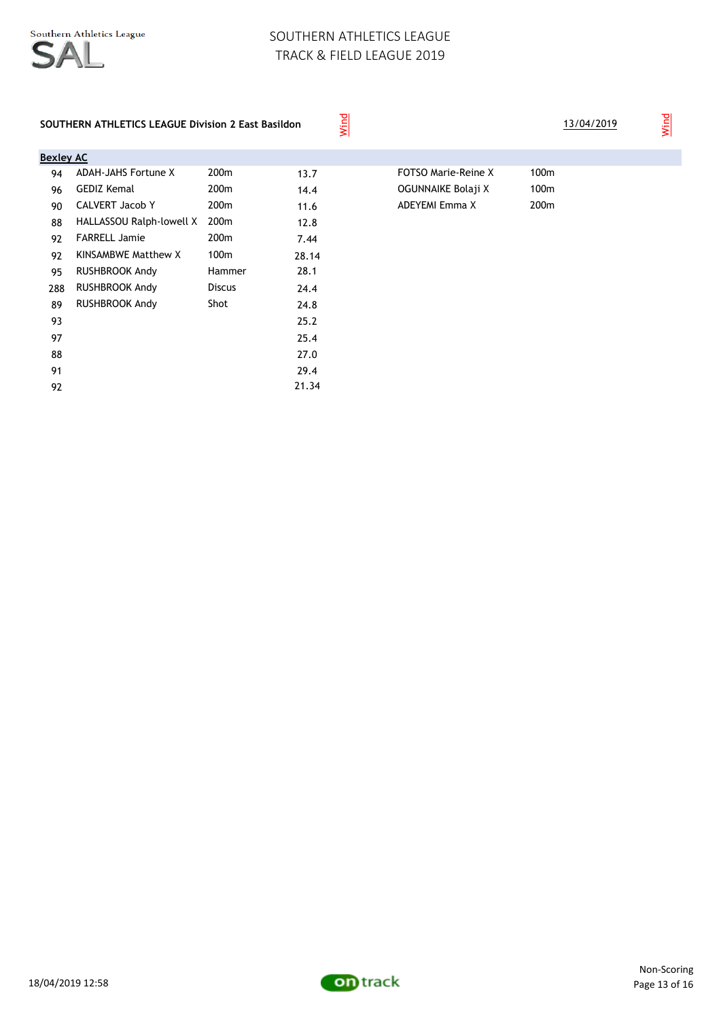Wind

### **SOUTHERN ATHLETICS LEAGUE Division 2 East Basildon**

| <b>Bexley AC</b><br><b>ADAH-JAHS Fortune X</b> | 200 <sub>m</sub> |       |                            |      |
|------------------------------------------------|------------------|-------|----------------------------|------|
|                                                |                  |       |                            |      |
|                                                |                  | 13.7  | <b>FOTSO Marie-Reine X</b> | 100m |
| <b>GEDIZ Kemal</b>                             | 200 <sub>m</sub> | 14.4  | OGUNNAIKE Bolaji X         | 100m |
| <b>CALVERT Jacob Y</b>                         | 200 <sub>m</sub> | 11.6  | ADEYEMI Emma X             | 200m |
| HALLASSOU Ralph-lowell X                       | 200 <sub>m</sub> | 12.8  |                            |      |
| <b>FARRELL Jamie</b>                           | 200 <sub>m</sub> | 7.44  |                            |      |
| KINSAMBWE Matthew X                            | 100m             | 28.14 |                            |      |
| RUSHBROOK Andy                                 | Hammer           | 28.1  |                            |      |
| <b>RUSHBROOK Andy</b>                          | <b>Discus</b>    | 24.4  |                            |      |
| RUSHBROOK Andy                                 | Shot             | 24.8  |                            |      |
|                                                |                  | 25.2  |                            |      |
|                                                |                  | 25.4  |                            |      |
|                                                |                  | 27.0  |                            |      |
|                                                |                  | 29.4  |                            |      |
|                                                |                  | 21.34 |                            |      |
|                                                |                  |       |                            |      |

| FOTSO Marie-Reine X |  |
|---------------------|--|
| OGUNNAIKE Bolaji X  |  |
| ADEYEMI Emma X      |  |

13/04/2019

Wind

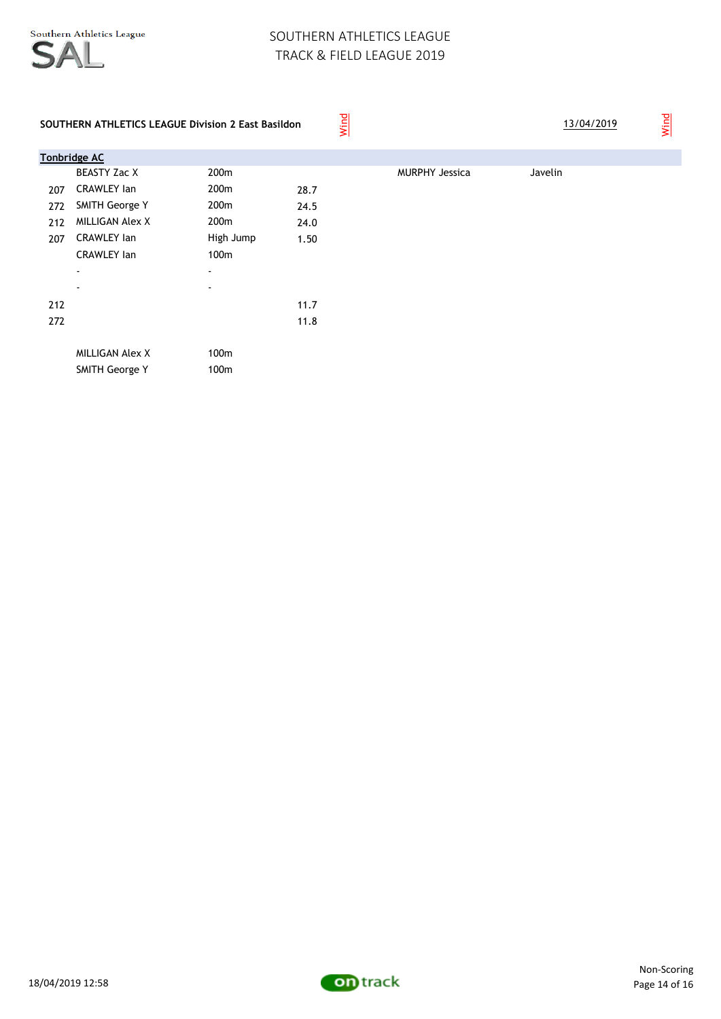

|     | SOUTHERN ATHLETICS LEAGUE Division 2 East Basildon |                          |      | Wind |                       |         | 13/04/2019 | Wind |
|-----|----------------------------------------------------|--------------------------|------|------|-----------------------|---------|------------|------|
|     | <b>Tonbridge AC</b>                                |                          |      |      |                       |         |            |      |
|     | <b>BEASTY Zac X</b>                                | 200 <sub>m</sub>         |      |      | <b>MURPHY Jessica</b> | Javelin |            |      |
| 207 | <b>CRAWLEY lan</b>                                 | 200m                     | 28.7 |      |                       |         |            |      |
| 272 | SMITH George Y                                     | 200m                     | 24.5 |      |                       |         |            |      |
| 212 | <b>MILLIGAN Alex X</b>                             | 200m                     | 24.0 |      |                       |         |            |      |
| 207 | <b>CRAWLEY lan</b>                                 | High Jump                | 1.50 |      |                       |         |            |      |
|     | <b>CRAWLEY lan</b>                                 | 100m                     |      |      |                       |         |            |      |
|     | $\overline{\phantom{a}}$                           | $\overline{\phantom{a}}$ |      |      |                       |         |            |      |
|     | $\overline{\phantom{a}}$                           | $\overline{\phantom{a}}$ |      |      |                       |         |            |      |
| 212 |                                                    |                          | 11.7 |      |                       |         |            |      |
| 272 |                                                    |                          | 11.8 |      |                       |         |            |      |
|     |                                                    |                          |      |      |                       |         |            |      |
|     | <b>MILLIGAN Alex X</b>                             | 100m                     |      |      |                       |         |            |      |
|     | <b>SMITH George Y</b>                              | 100m                     |      |      |                       |         |            |      |
|     |                                                    |                          |      |      |                       |         |            |      |

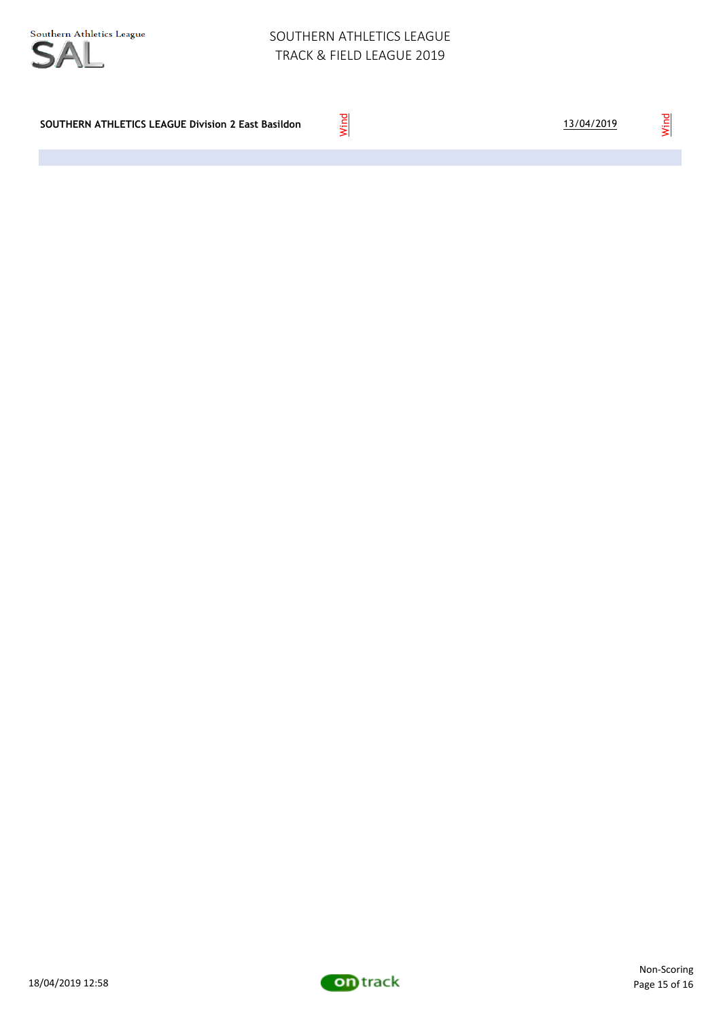| SOUTHERN ATHLETICS LEAGUE Division 2 East Basildon |  |
|----------------------------------------------------|--|
|----------------------------------------------------|--|



Wind